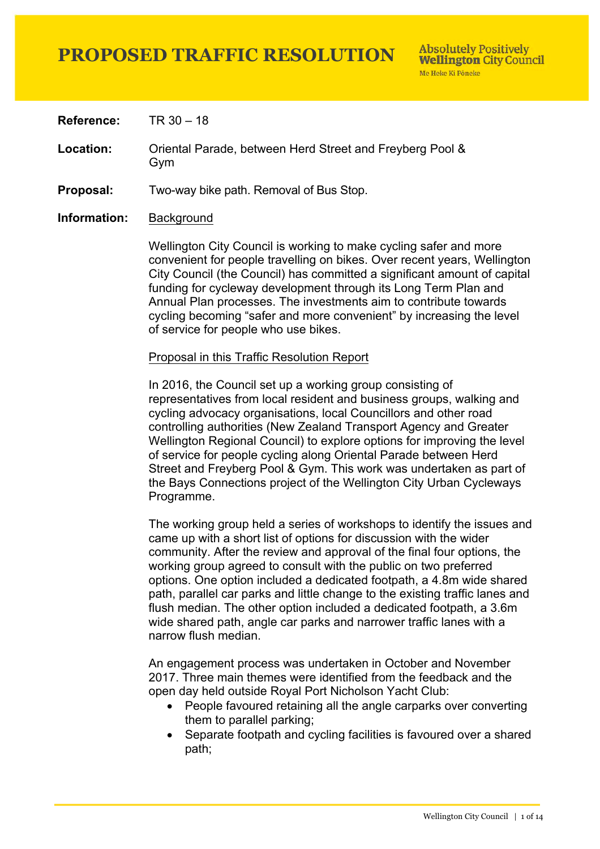**Reference:** TR 30 – 18

**Location:** Oriental Parade, between Herd Street and Freyberg Pool & Gym

**Proposal:** Two-way bike path. Removal of Bus Stop.

**Information:** Background

Wellington City Council is working to make cycling safer and more convenient for people travelling on bikes. Over recent years, Wellington City Council (the Council) has committed a significant amount of capital funding for cycleway development through its Long Term Plan and Annual Plan processes. The investments aim to contribute towards cycling becoming "safer and more convenient" by increasing the level of service for people who use bikes.

#### Proposal in this Traffic Resolution Report

In 2016, the Council set up a working group consisting of representatives from local resident and business groups, walking and cycling advocacy organisations, local Councillors and other road controlling authorities (New Zealand Transport Agency and Greater Wellington Regional Council) to explore options for improving the level of service for people cycling along Oriental Parade between Herd Street and Freyberg Pool & Gym. This work was undertaken as part of the Bays Connections project of the Wellington City Urban Cycleways Programme.

The working group held a series of workshops to identify the issues and came up with a short list of options for discussion with the wider community. After the review and approval of the final four options, the working group agreed to consult with the public on two preferred options. One option included a dedicated footpath, a 4.8m wide shared path, parallel car parks and little change to the existing traffic lanes and flush median. The other option included a dedicated footpath, a 3.6m wide shared path, angle car parks and narrower traffic lanes with a narrow flush median.

An engagement process was undertaken in October and November 2017. Three main themes were identified from the feedback and the open day held outside Royal Port Nicholson Yacht Club:

- People favoured retaining all the angle carparks over converting them to parallel parking;
- Separate footpath and cycling facilities is favoured over a shared path;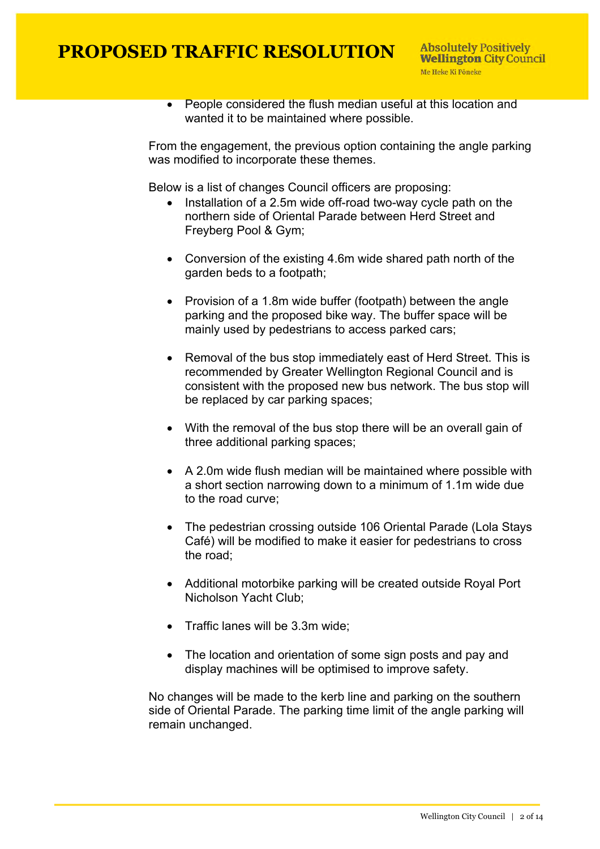• People considered the flush median useful at this location and wanted it to be maintained where possible.

From the engagement, the previous option containing the angle parking was modified to incorporate these themes.

Below is a list of changes Council officers are proposing:

- Installation of a 2.5m wide off-road two-way cycle path on the northern side of Oriental Parade between Herd Street and Freyberg Pool & Gym;
- Conversion of the existing 4.6m wide shared path north of the garden beds to a footpath;
- Provision of a 1.8m wide buffer (footpath) between the angle parking and the proposed bike way. The buffer space will be mainly used by pedestrians to access parked cars;
- Removal of the bus stop immediately east of Herd Street. This is recommended by Greater Wellington Regional Council and is consistent with the proposed new bus network. The bus stop will be replaced by car parking spaces;
- With the removal of the bus stop there will be an overall gain of three additional parking spaces;
- A 2.0m wide flush median will be maintained where possible with a short section narrowing down to a minimum of 1.1m wide due to the road curve;
- The pedestrian crossing outside 106 Oriental Parade (Lola Stays Café) will be modified to make it easier for pedestrians to cross the road;
- Additional motorbike parking will be created outside Royal Port Nicholson Yacht Club;
- Traffic lanes will be 3.3m wide;
- The location and orientation of some sign posts and pay and display machines will be optimised to improve safety.

No changes will be made to the kerb line and parking on the southern side of Oriental Parade. The parking time limit of the angle parking will remain unchanged.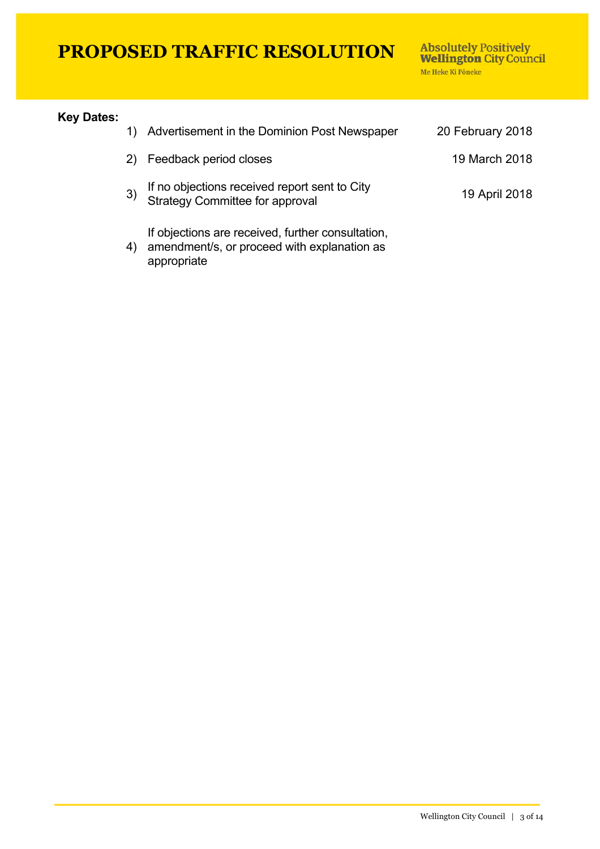appropriate

Absolutely Positively<br>Wellington City Council Me Heke Ki Pôneke

#### **Key Dates:**

|                | Advertisement in the Dominion Post Newspaper                                                     | 20 February 2018 |
|----------------|--------------------------------------------------------------------------------------------------|------------------|
| 2)             | Feedback period closes                                                                           | 19 March 2018    |
| 3)             | If no objections received report sent to City<br>Strategy Committee for approval                 | 19 April 2018    |
| $\overline{4}$ | If objections are received, further consultation,<br>amendment/s, or proceed with explanation as |                  |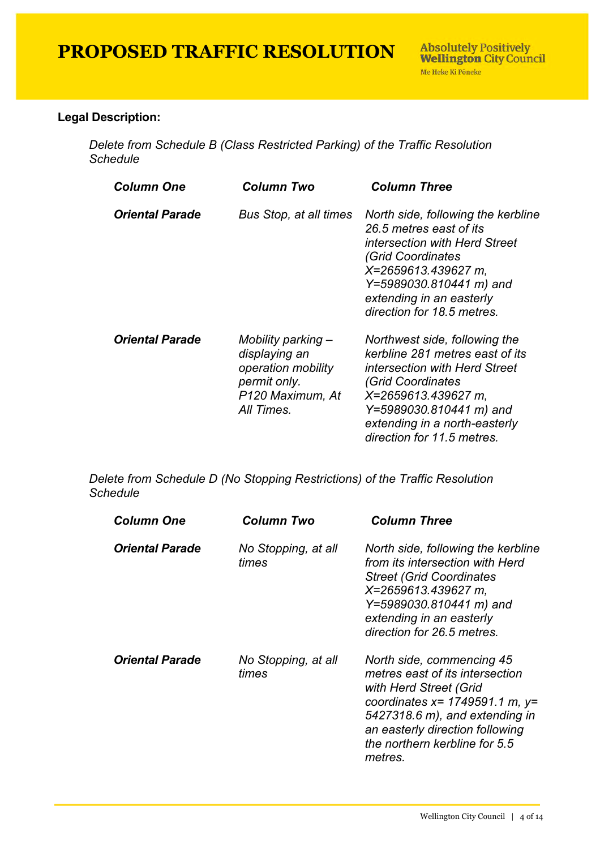#### **Legal Description:**

*Delete from Schedule B (Class Restricted Parking) of the Traffic Resolution Schedule*

| <b>Column One</b>      | Column Two                                                                                                  | <b>Column Three</b>                                                                                                                                                                                                                     |
|------------------------|-------------------------------------------------------------------------------------------------------------|-----------------------------------------------------------------------------------------------------------------------------------------------------------------------------------------------------------------------------------------|
| <b>Oriental Parade</b> | <b>Bus Stop, at all times</b>                                                                               | North side, following the kerbline<br>26.5 metres east of its<br><i>intersection with Herd Street</i><br>(Grid Coordinates<br>X=2659613.439627 m,<br>Y=5989030.810441 m) and<br>extending in an easterly<br>direction for 18.5 metres.  |
| <b>Oriental Parade</b> | Mobility parking -<br>displaying an<br>operation mobility<br>permit only.<br>P120 Maximum, At<br>All Times. | Northwest side, following the<br>kerbline 281 metres east of its<br>intersection with Herd Street<br>(Grid Coordinates<br>X=2659613.439627 m,<br>Y=5989030.810441 m) and<br>extending in a north-easterly<br>direction for 11.5 metres. |

*Delete from Schedule D (No Stopping Restrictions) of the Traffic Resolution Schedule*

| <b>Column One</b>      | Column Two                   | <b>Column Three</b>                                                                                                                                                                                                                             |
|------------------------|------------------------------|-------------------------------------------------------------------------------------------------------------------------------------------------------------------------------------------------------------------------------------------------|
| <b>Oriental Parade</b> | No Stopping, at all<br>times | North side, following the kerbline<br>from its intersection with Herd<br><b>Street (Grid Coordinates)</b><br>X=2659613.439627 m,<br>Y=5989030.810441 m) and<br>extending in an easterly<br>direction for 26.5 metres.                           |
| <b>Oriental Parade</b> | No Stopping, at all<br>times | North side, commencing 45<br>metres east of its intersection<br>with Herd Street (Grid<br>coordinates $x = 1749591.1$ m, $y =$<br>5427318.6 m), and extending in<br>an easterly direction following<br>the northern kerbline for 5.5<br>metres. |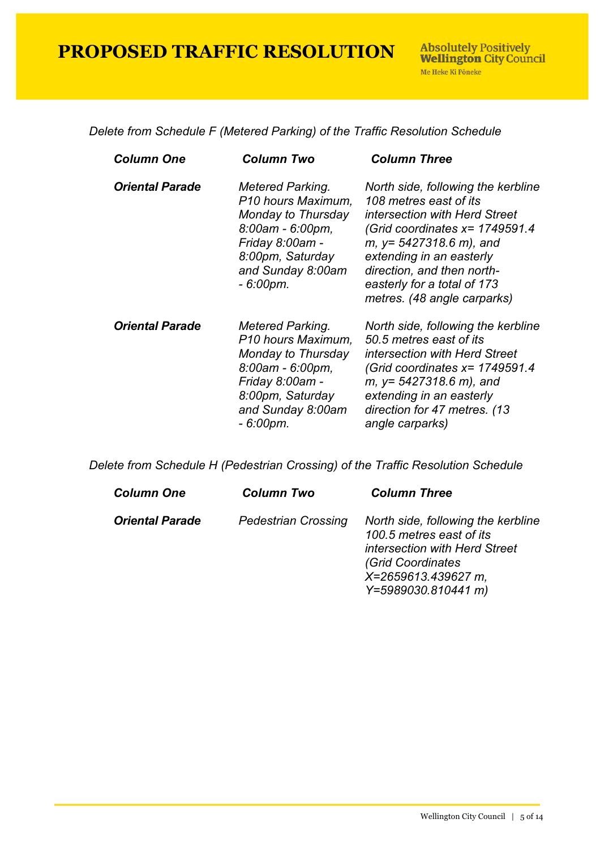*Delete from Schedule F (Metered Parking) of the Traffic Resolution Schedule*

| <b>Column One</b>      | Column Two                                                                                                                                                         | <b>Column Three</b>                                                                                                                                                                                                                                                                      |
|------------------------|--------------------------------------------------------------------------------------------------------------------------------------------------------------------|------------------------------------------------------------------------------------------------------------------------------------------------------------------------------------------------------------------------------------------------------------------------------------------|
| <b>Oriental Parade</b> | Metered Parking.<br>P10 hours Maximum,<br>Monday to Thursday<br>8:00am - 6:00pm,<br>Friday 8:00am -<br>8:00pm, Saturday<br>and Sunday 8:00am<br>$-6:00 \text{pm}.$ | North side, following the kerbline<br>108 metres east of its<br>intersection with Herd Street<br>(Grid coordinates $x = 1749591.4$<br>$m, y = 5427318.6 m$ , and<br>extending in an easterly<br>direction, and then north-<br>easterly for a total of 173<br>metres. (48 angle carparks) |
| <b>Oriental Parade</b> | Metered Parking.<br>P10 hours Maximum,<br>Monday to Thursday<br>$8:00$ am - $6:00$ pm,<br>Friday 8:00am -<br>8:00pm, Saturday<br>and Sunday 8:00am<br>- 6:00pm.    | North side, following the kerbline<br>50.5 metres east of its<br>intersection with Herd Street<br>(Grid coordinates $x = 1749591.4$<br>$m, y = 5427318.6 m$ , and<br>extending in an easterly<br>direction for 47 metres. (13<br>angle carparks)                                         |

*Delete from Schedule H (Pedestrian Crossing) of the Traffic Resolution Schedule*

| <b>Column One</b>      | <b>Column Two</b>          | <b>Column Three</b>                                                                                                                                                |
|------------------------|----------------------------|--------------------------------------------------------------------------------------------------------------------------------------------------------------------|
| <b>Oriental Parade</b> | <b>Pedestrian Crossing</b> | North side, following the kerbline<br>100.5 metres east of its<br>intersection with Herd Street<br>(Grid Coordinates<br>X=2659613.439627 m,<br>Y=5989030.810441 m) |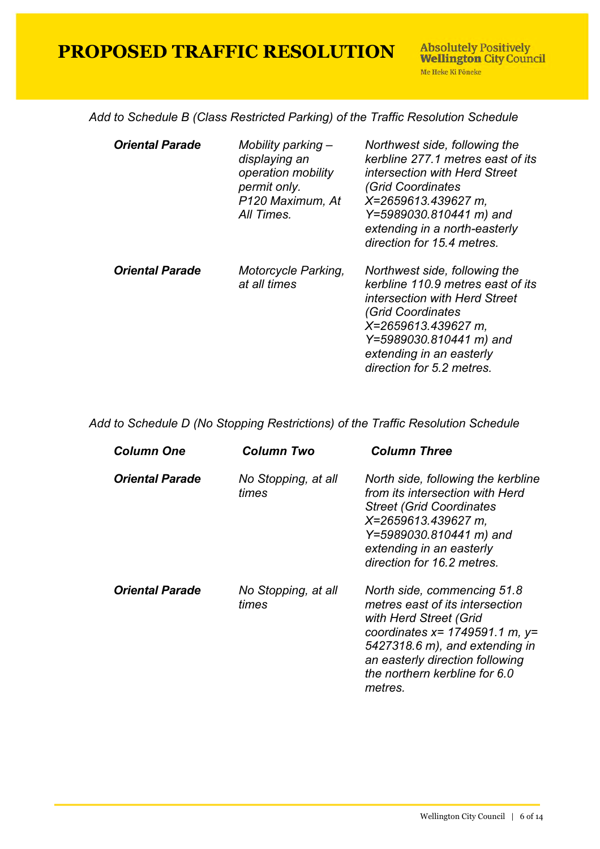*Add to Schedule B (Class Restricted Parking) of the Traffic Resolution Schedule*

| <b>Oriental Parade</b> | Mobility parking -<br>displaying an<br>operation mobility<br>permit only.<br>P120 Maximum, At<br>All Times. | Northwest side, following the<br>kerbline 277.1 metres east of its<br>intersection with Herd Street<br>(Grid Coordinates<br>X=2659613.439627 m.<br>Y=5989030.810441 m) and<br>extending in a north-easterly<br>direction for 15.4 metres. |
|------------------------|-------------------------------------------------------------------------------------------------------------|-------------------------------------------------------------------------------------------------------------------------------------------------------------------------------------------------------------------------------------------|
| <b>Oriental Parade</b> | Motorcycle Parking,<br>at all times                                                                         | Northwest side, following the<br>kerbline 110.9 metres east of its<br>intersection with Herd Street<br>(Grid Coordinates<br>X=2659613.439627 m,<br>Y=5989030.810441 m) and<br>extending in an easterly<br>direction for 5.2 metres.       |

*Add to Schedule D (No Stopping Restrictions) of the Traffic Resolution Schedule*

| <b>Column One</b>      | Column Two                   | <b>Column Three</b>                                                                                                                                                                                                                                 |
|------------------------|------------------------------|-----------------------------------------------------------------------------------------------------------------------------------------------------------------------------------------------------------------------------------------------------|
| <b>Oriental Parade</b> | No Stopping, at all<br>times | North side, following the kerbline<br>from its intersection with Herd<br><b>Street (Grid Coordinates)</b><br>X=2659613.439627 m,<br>Y=5989030.810441 m) and<br>extending in an easterly<br>direction for 16.2 metres.                               |
| <b>Oriental Parade</b> | No Stopping, at all<br>times | North side, commencing 51.8<br>metres east of its intersection<br>with Herd Street (Grid<br>coordinates $x = 1749591.1$ m, $y =$<br>$5427318.6$ m), and extending in<br>an easterly direction following<br>the northern kerbline for 6.0<br>metres. |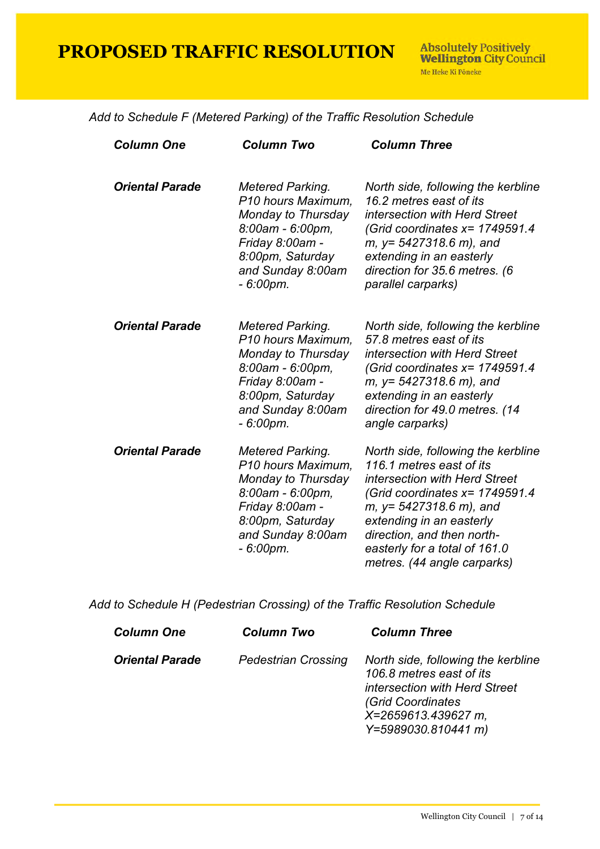|  | Add to Schedule F (Metered Parking) of the Traffic Resolution Schedule |
|--|------------------------------------------------------------------------|
|--|------------------------------------------------------------------------|

| <b>Column One</b>      | <b>Column Two</b>                                                                                                                                                 | <b>Column Three</b>                                                                                                                                                                                                                                                                          |
|------------------------|-------------------------------------------------------------------------------------------------------------------------------------------------------------------|----------------------------------------------------------------------------------------------------------------------------------------------------------------------------------------------------------------------------------------------------------------------------------------------|
| <b>Oriental Parade</b> | Metered Parking.<br>P10 hours Maximum,<br>Monday to Thursday<br>8:00am - 6:00pm,<br>Friday 8:00am -<br>8:00pm, Saturday<br>and Sunday 8:00am<br>$-6:00pm$ .       | North side, following the kerbline<br>16.2 metres east of its<br>intersection with Herd Street<br>(Grid coordinates $x = 1749591.4$<br>$m, y = 5427318.6 m$ , and<br>extending in an easterly<br>direction for 35.6 metres. (6<br>parallel carparks)                                         |
| <b>Oriental Parade</b> | Metered Parking.<br>P10 hours Maximum,<br>Monday to Thursday<br>8:00am - 6:00pm,<br>Friday 8:00am -<br>8:00pm, Saturday<br>and Sunday 8:00am<br>$-6:00pm$ .       | North side, following the kerbline<br>57.8 metres east of its<br>intersection with Herd Street<br>(Grid coordinates $x = 1749591.4$<br>$m, y = 5427318.6 m$ , and<br>extending in an easterly<br>direction for 49.0 metres. (14<br>angle carparks)                                           |
| <b>Oriental Parade</b> | Metered Parking.<br>P10 hours Maximum,<br>Monday to Thursday<br>$8:00$ am - $6:00$ pm,<br>Friday 8:00am -<br>8:00pm, Saturday<br>and Sunday 8:00am<br>$-6:00$ pm. | North side, following the kerbline<br>116.1 metres east of its<br>intersection with Herd Street<br>(Grid coordinates $x = 1749591.4$<br>$m, y = 5427318.6 m$ , and<br>extending in an easterly<br>direction, and then north-<br>easterly for a total of 161.0<br>metres. (44 angle carparks) |

*Add to Schedule H (Pedestrian Crossing) of the Traffic Resolution Schedule*

| <b>Column One</b>      | <b>Column Two</b>          | <b>Column Three</b>                                                                                                                                                       |
|------------------------|----------------------------|---------------------------------------------------------------------------------------------------------------------------------------------------------------------------|
| <b>Oriental Parade</b> | <b>Pedestrian Crossing</b> | North side, following the kerbline<br>106.8 metres east of its<br><i>intersection with Herd Street</i><br>(Grid Coordinates<br>X=2659613.439627 m,<br>Y=5989030.810441 m) |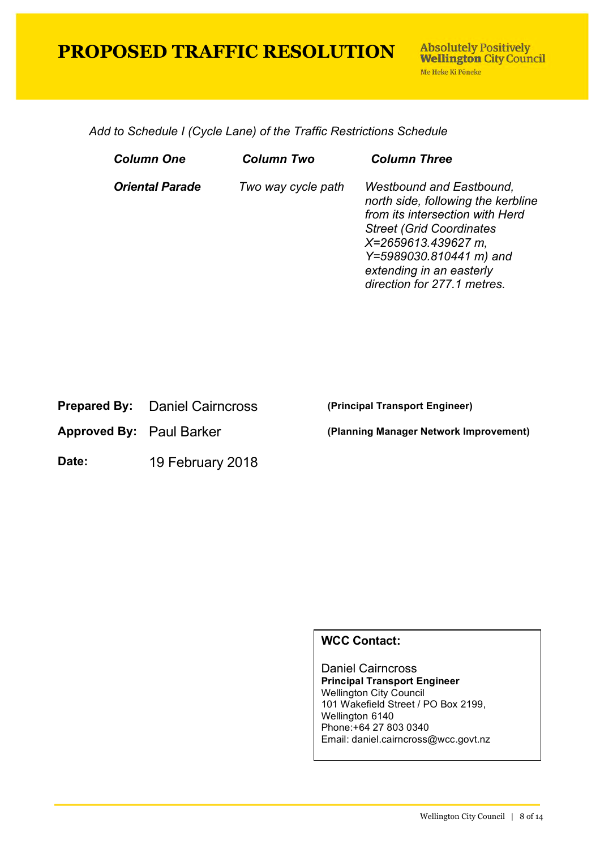*Add to Schedule I (Cycle Lane) of the Traffic Restrictions Schedule*

| Column One             | Column Two         | <b>Column Three</b>                                                                                                                                                                                                                                       |
|------------------------|--------------------|-----------------------------------------------------------------------------------------------------------------------------------------------------------------------------------------------------------------------------------------------------------|
| <b>Oriental Parade</b> | Two way cycle path | <b>Westbound and Eastbound,</b><br>north side, following the kerbline<br>from its intersection with Herd<br><b>Street (Grid Coordinates)</b><br>X=2659613.439627 m,<br>Y=5989030.810441 m) and<br>extending in an easterly<br>direction for 277.1 metres. |

|  | <b>Prepared By:</b> Daniel Cairncross |
|--|---------------------------------------|
|--|---------------------------------------|

**Date:** 19 February 2018

**(Principal Transport Engineer)** 

**Approved By:** Paul Barker **(Planning Manager Network Improvement)**

#### **WCC Contact:**

Daniel Cairncross **Principal Transport Engineer** Wellington City Council 101 Wakefield Street / PO Box 2199, Wellington 6140 Phone:+64 27 803 0340 Email: daniel.cairncross@wcc.govt.nz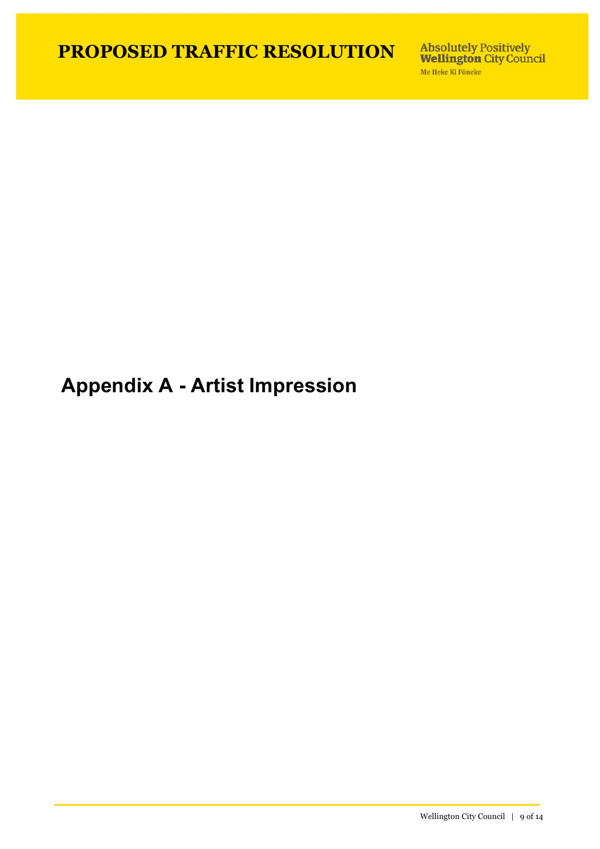Absolutely Positively<br>Wellington City Council Me Heke Ki Pôneke

## **Appendix A - Artist Impression**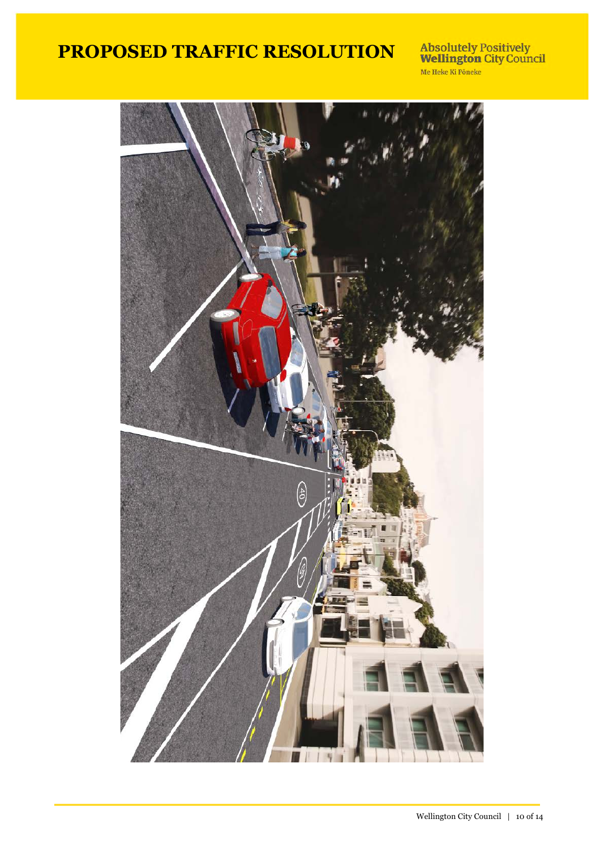Absolutely Positively<br>Wellington City Council<br>Me Heke Ki Pôneke

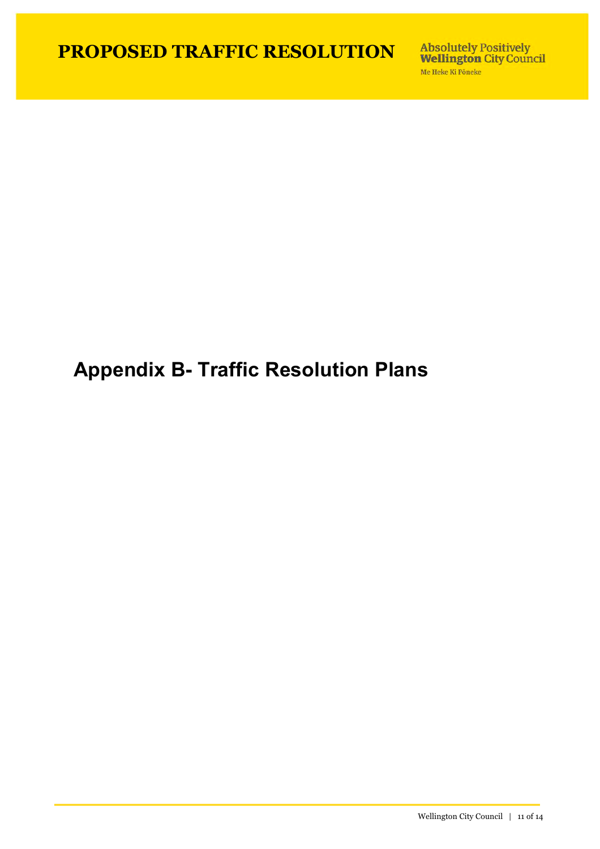Absolutely Positively<br>Wellington City Council Me Heke Ki Pôneke

# **Appendix B- Traffic Resolution Plans**